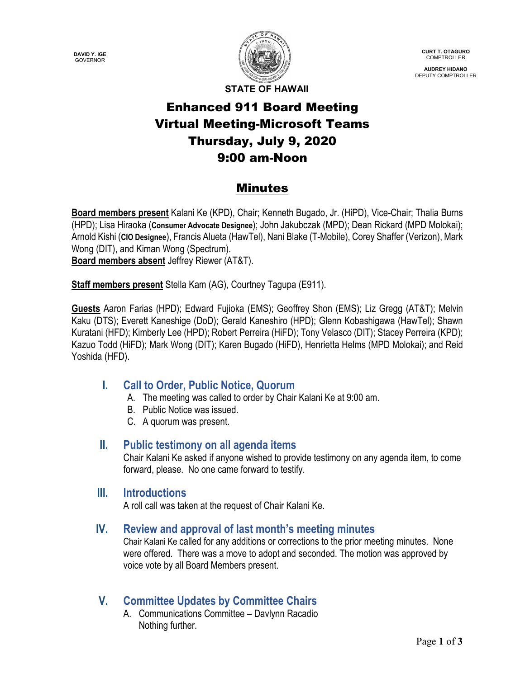**DAVID Y. IGE** GOVERNOR



**CURT T. OTAGURO** COMPTROLLER

**AUDREY HIDANO** DEPUTY COMPTROLLER

**STATE OF HAWAII**

# Enhanced 911 Board Meeting Virtual Meeting-Microsoft Teams Thursday, July 9, 2020 9:00 am-Noon

### Minutes

**Board members present** Kalani Ke (KPD), Chair; Kenneth Bugado, Jr. (HiPD), Vice-Chair; Thalia Burns (HPD); Lisa Hiraoka (**Consumer Advocate Designee**); John Jakubczak (MPD); Dean Rickard (MPD Molokai); Arnold Kishi (**CIO Designee**), Francis Alueta (HawTel), Nani Blake (T-Mobile), Corey Shaffer (Verizon), Mark Wong (DIT), and Kiman Wong (Spectrum). **Board members absent** Jeffrey Riewer (AT&T).

**Staff members present** Stella Kam (AG), Courtney Tagupa (E911).

**Guests** Aaron Farias (HPD); Edward Fujioka (EMS); Geoffrey Shon (EMS); Liz Gregg (AT&T); Melvin Kaku (DTS); Everett Kaneshige (DoD); Gerald Kaneshiro (HPD); Glenn Kobashigawa (HawTel); Shawn Kuratani (HFD); Kimberly Lee (HPD); Robert Perreira (HiFD); Tony Velasco (DIT); Stacey Perreira (KPD); Kazuo Todd (HiFD); Mark Wong (DIT); Karen Bugado (HiFD), Henrietta Helms (MPD Molokai); and Reid Yoshida (HFD).

### **I. Call to Order, Public Notice, Quorum**

- A. The meeting was called to order by Chair Kalani Ke at 9:00 am.
- B. Public Notice was issued.
- C. A quorum was present.

### **II. Public testimony on all agenda items**

Chair Kalani Ke asked if anyone wished to provide testimony on any agenda item, to come forward, please. No one came forward to testify.

### **III. Introductions**

A roll call was taken at the request of Chair Kalani Ke.

### **IV. Review and approval of last month's meeting minutes**

Chair Kalani Ke called for any additions or corrections to the prior meeting minutes. None were offered. There was a move to adopt and seconded. The motion was approved by voice vote by all Board Members present.

# **V. Committee Updates by Committee Chairs**

A. Communications Committee – Davlynn Racadio Nothing further.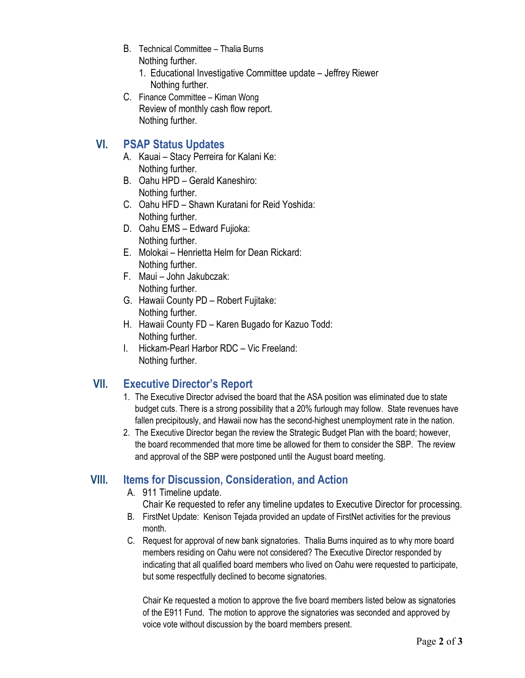- B. Technical Committee Thalia Burns Nothing further.
	- 1. Educational Investigative Committee update Jeffrey Riewer Nothing further.
- C. Finance Committee Kiman Wong Review of monthly cash flow report. Nothing further.

### **VI. PSAP Status Updates**

- A. Kauai Stacy Perreira for Kalani Ke: Nothing further.
- B. Oahu HPD Gerald Kaneshiro: Nothing further.
- C. Oahu HFD Shawn Kuratani for Reid Yoshida: Nothing further.
- D. Oahu EMS Edward Fujioka: Nothing further.
- E. Molokai Henrietta Helm for Dean Rickard: Nothing further.
- F. Maui John Jakubczak: Nothing further.
- G. Hawaii County PD Robert Fujitake: Nothing further.
- H. Hawaii County FD Karen Bugado for Kazuo Todd: Nothing further.
- I. Hickam-Pearl Harbor RDC Vic Freeland: Nothing further.

# **VII. Executive Director's Report**

- 1. The Executive Director advised the board that the ASA position was eliminated due to state budget cuts. There is a strong possibility that a 20% furlough may follow. State revenues have fallen precipitously, and Hawaii now has the second-highest unemployment rate in the nation.
- 2. The Executive Director began the review the Strategic Budget Plan with the board; however, the board recommended that more time be allowed for them to consider the SBP. The review and approval of the SBP were postponed until the August board meeting.

# **VIII. Items for Discussion, Consideration, and Action**

- A. 911 Timeline update.
	- Chair Ke requested to refer any timeline updates to Executive Director for processing.
- B. FirstNet Update: Kenison Tejada provided an update of FirstNet activities for the previous month.
- C. Request for approval of new bank signatories. Thalia Burns inquired as to why more board members residing on Oahu were not considered? The Executive Director responded by indicating that all qualified board members who lived on Oahu were requested to participate, but some respectfully declined to become signatories.

Chair Ke requested a motion to approve the five board members listed below as signatories of the E911 Fund. The motion to approve the signatories was seconded and approved by voice vote without discussion by the board members present.